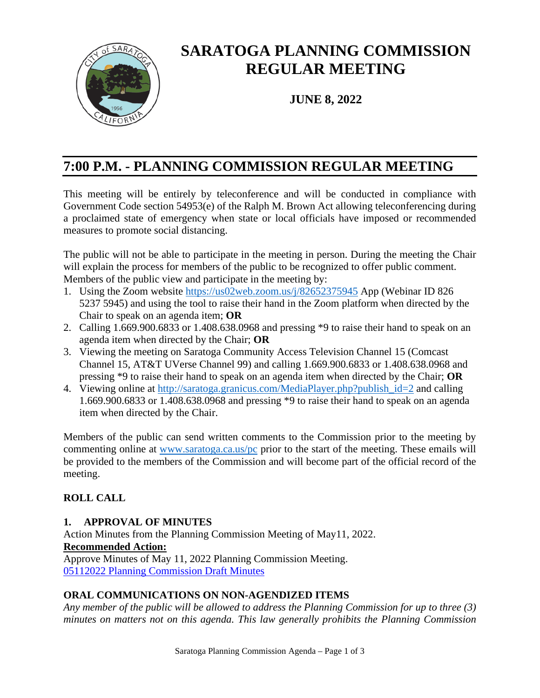

# **SARATOGA PLANNING COMMISSION REGULAR MEETING**

**JUNE 8, 2022**

# **7:00 P.M. - PLANNING COMMISSION REGULAR MEETING**

This meeting will be entirely by teleconference and will be conducted in compliance with Government Code section 54953(e) of the Ralph M. Brown Act allowing teleconferencing during a proclaimed state of emergency when state or local officials have imposed or recommended measures to promote social distancing.

The public will not be able to participate in the meeting in person. During the meeting the Chair will explain the process for members of the public to be recognized to offer public comment. Members of the public view and participate in the meeting by:

- 1. Using the Zoom website <https://us02web.zoom.us/j/82652375945> App (Webinar ID 826 5237 5945) and using the tool to raise their hand in the Zoom platform when directed by the Chair to speak on an agenda item; **OR**
- 2. Calling 1.669.900.6833 or 1.408.638.0968 and pressing \*9 to raise their hand to speak on an agenda item when directed by the Chair; **OR**
- 3. Viewing the meeting on Saratoga Community Access Television Channel 15 (Comcast Channel 15, AT&T UVerse Channel 99) and calling 1.669.900.6833 or 1.408.638.0968 and pressing \*9 to raise their hand to speak on an agenda item when directed by the Chair; **OR**
- 4. Viewing online at http://saratoga.granicus.com/MediaPlayer.php?publish id=2 and calling 1.669.900.6833 or 1.408.638.0968 and pressing \*9 to raise their hand to speak on an agenda item when directed by the Chair.

Members of the public can send written comments to the Commission prior to the meeting by commenting online at [www.saratoga.ca.us/pc](http://www.saratoga.ca.us/pc) prior to the start of the meeting. These emails will be provided to the members of the Commission and will become part of the official record of the meeting.

# **ROLL CALL**

# **1. APPROVAL OF MINUTES**

Action Minutes from the Planning Commission Meeting of May11, 2022. **Recommended Action:** Approve Minutes of May 11, 2022 Planning Commission Meeting. [05112022 Planning Commission Draft Minutes](https://legistarweb-production.s3.amazonaws.com/uploads/attachment/pdf/1408192/05112022_PC_minutes_-_draft.pdf)

# **ORAL COMMUNICATIONS ON NON-AGENDIZED ITEMS**

*Any member of the public will be allowed to address the Planning Commission for up to three (3) minutes on matters not on this agenda. This law generally prohibits the Planning Commission*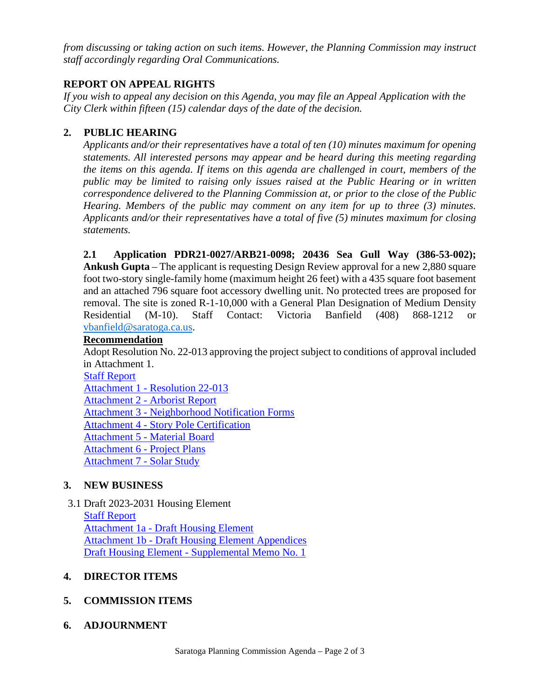*from discussing or taking action on such items. However, the Planning Commission may instruct staff accordingly regarding Oral Communications.* 

#### **REPORT ON APPEAL RIGHTS**

*If you wish to appeal any decision on this Agenda, you may file an Appeal Application with the City Clerk within fifteen (15) calendar days of the date of the decision.* 

#### **2. PUBLIC HEARING**

*Applicants and/or their representatives have a total of ten (10) minutes maximum for opening statements. All interested persons may appear and be heard during this meeting regarding the items on this agenda. If items on this agenda are challenged in court, members of the public may be limited to raising only issues raised at the Public Hearing or in written correspondence delivered to the Planning Commission at, or prior to the close of the Public Hearing. Members of the public may comment on any item for up to three (3) minutes. Applicants and/or their representatives have a total of five (5) minutes maximum for closing statements.* 

**2.1 Application PDR21-0027/ARB21-0098; 20436 Sea Gull Way (386-53-002); Ankush Gupta** – The applicant is requesting Design Review approval for a new 2,880 square foot two-story single-family home (maximum height 26 feet) with a 435 square foot basement and an attached 796 square foot accessory dwelling unit. No protected trees are proposed for removal. The site is zoned R-1-10,000 with a General Plan Designation of Medium Density Residential (M-10). Staff Contact: Victoria Banfield (408) 868-1212 or [vbanfield@saratoga.ca.us.](mailto:vbanfield@saratoga.ca.us)

#### **Recommendation**

Adopt Resolution No. 22-013 approving the project subject to conditions of approval included in Attachment 1.

[Staff Report](https://legistarweb-production.s3.amazonaws.com/uploads/attachment/pdf/1402207/Staff_Report_-_Sea_Gull_Way_20436.pdf)

Attachment 1 - [Resolution 22-013](https://legistarweb-production.s3.amazonaws.com/uploads/attachment/pdf/1402208/Attachment_1_-_Resolution_22-013.pdf)

Attachment 2 - [Arborist Report](https://legistarweb-production.s3.amazonaws.com/uploads/attachment/pdf/1402209/Attachment_2_-_Arborist_Report.pdf)

Attachment 3 - [Neighborhood Notification Forms](https://legistarweb-production.s3.amazonaws.com/uploads/attachment/pdf/1402210/Attachment_3_-_Neighborhood_Notification_Forms.pdf)

Attachment 4 - [Story Pole Certification](https://legistarweb-production.s3.amazonaws.com/uploads/attachment/pdf/1402211/Attachment_4_-_Story_Pole_Certification.pdf)

Attachment 5 - [Material Board](https://legistarweb-production.s3.amazonaws.com/uploads/attachment/pdf/1402212/Attachment_5_-_Material_Board.pdf)

[Attachment 6 -](https://legistarweb-production.s3.amazonaws.com/uploads/attachment/pdf/1402213/Attachment_6_-_Project_Plans.pdf) Project Plans

[Attachment 7 -](https://legistarweb-production.s3.amazonaws.com/uploads/attachment/pdf/1402214/Attachment_7_-_Solar_Study.pdf) Solar Study

# **3. NEW BUSINESS**

3.1 Draft 2023-2031 Housing Element

[Staff Report](https://legistarweb-production.s3.amazonaws.com/uploads/attachment/pdf/1410132/6-8-22_SR-Draft_Housing_Element_FINAL.pdf) Attachment 1a - [Draft Housing Element](https://legistarweb-production.s3.amazonaws.com/uploads/attachment/pdf/1409681/Draft_SRHE_22_0603.pdf) Attachment 1b - [Draft Housing Element Appendices](https://legistarweb-production.s3.amazonaws.com/uploads/attachment/pdf/1409692/Draft_SRHE_AppendicesOnly_22_0603.pdf) Draft Housing Element - [Supplemental Memo No. 1](https://legistarweb-production.s3.amazonaws.com/uploads/attachment/pdf/1417454/06082022_Housing_Element_-_Supplemental_Memo_No._1.pdf)

# **4. DIRECTOR ITEMS**

# **5. COMMISSION ITEMS**

# **6. ADJOURNMENT**